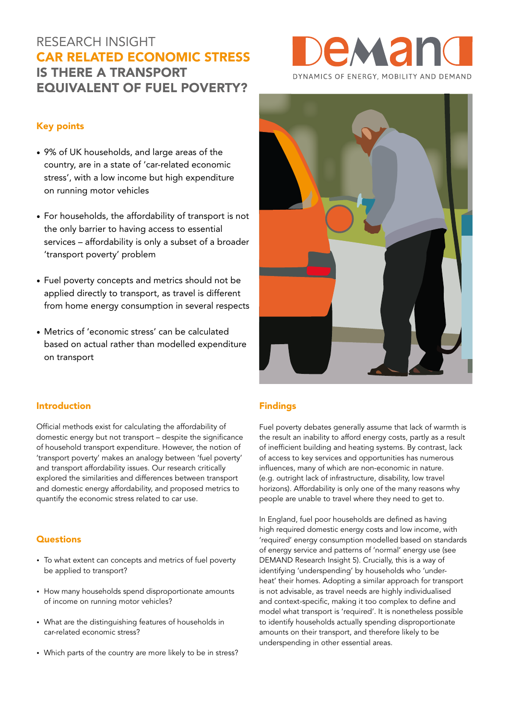# RESEARCH INSIGHT CAR RELATED ECONOMIC STRESS IS THERE A TRANSPORT EQUIVALENT OF FUEL POVERTY?

### Key points

- 9% of UK households, and large areas of the country, are in a state of 'car-related economic stress', with a low income but high expenditure on running motor vehicles
- For households, the affordability of transport is not the only barrier to having access to essential services – affordability is only a subset of a broader 'transport poverty' problem
- Fuel poverty concepts and metrics should not be applied directly to transport, as travel is different from home energy consumption in several respects
- Metrics of 'economic stress' can be calculated based on actual rather than modelled expenditure on transport



#### Introduction

Official methods exist for calculating the affordability of domestic energy but not transport – despite the significance of household transport expenditure. However, the notion of 'transport poverty' makes an analogy between 'fuel poverty' and transport affordability issues. Our research critically explored the similarities and differences between transport and domestic energy affordability, and proposed metrics to quantify the economic stress related to car use.

#### **Questions**

- To what extent can concepts and metrics of fuel poverty be applied to transport?
- How many households spend disproportionate amounts of income on running motor vehicles?
- What are the distinguishing features of households in car-related economic stress?
- Which parts of the country are more likely to be in stress?

#### Findings

Fuel poverty debates generally assume that lack of warmth is the result an inability to afford energy costs, partly as a result of inefficient building and heating systems. By contrast, lack of access to key services and opportunities has numerous influences, many of which are non-economic in nature. (e.g. outright lack of infrastructure, disability, low travel horizons). Affordability is only one of the many reasons why people are unable to travel where they need to get to.

In England, fuel poor households are defined as having high required domestic energy costs and low income, with 'required' energy consumption modelled based on standards of energy service and patterns of 'normal' energy use (see DEMAND Research Insight 5). Crucially, this is a way of identifying 'underspending' by households who 'underheat' their homes. Adopting a similar approach for transport is not advisable, as travel needs are highly individualised and context-specific, making it too complex to define and model what transport is 'required'. It is nonetheless possible to identify households actually spending disproportionate amounts on their transport, and therefore likely to be underspending in other essential areas.